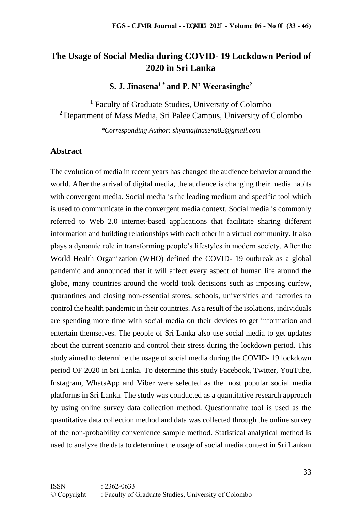# **The Usage of Social Media during COVID- 19 Lockdown Period of 2020 in Sri Lanka**

**S. J. Jinasena<sup>1</sup> \* and P. N' Weerasinghe<sup>2</sup>**

<sup>1</sup> Faculty of Graduate Studies, University of Colombo <sup>2</sup> Department of Mass Media, Sri Palee Campus, University of Colombo

*\*Corresponding Author: shyamajinasena82@gmail.com*

### **Abstract**

The evolution of media in recent years has changed the audience behavior around the world. After the arrival of digital media, the audience is changing their media habits with convergent media. Social media is the leading medium and specific tool which is used to communicate in the convergent media context. Social media is commonly referred to Web 2.0 internet-based applications that facilitate sharing different information and building relationships with each other in a virtual community. It also plays a dynamic role in transforming people's lifestyles in modern society. After the World Health Organization (WHO) defined the COVID- 19 outbreak as a global pandemic and announced that it will affect every aspect of human life around the globe, many countries around the world took decisions such as imposing curfew, quarantines and closing non-essential stores, schools, universities and factories to control the health pandemic in their countries. As a result of the isolations, individuals are spending more time with social media on their devices to get information and entertain themselves. The people of Sri Lanka also use social media to get updates about the current scenario and control their stress during the lockdown period. This study aimed to determine the usage of social media during the COVID- 19 lockdown period OF 2020 in Sri Lanka. To determine this study Facebook, Twitter, YouTube, Instagram, WhatsApp and Viber were selected as the most popular social media platforms in Sri Lanka. The study was conducted as a quantitative research approach by using online survey data collection method. Questionnaire tool is used as the quantitative data collection method and data was collected through the online survey of the non-probability convenience sample method. Statistical analytical method is used to analyze the data to determine the usage of social media context in Sri Lankan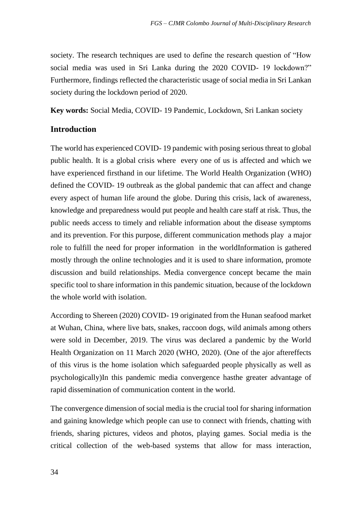society. The research techniques are used to define the research question of "How social media was used in Sri Lanka during the 2020 COVID- 19 lockdown?" Furthermore, findings reflected the characteristic usage of social media in Sri Lankan society during the lockdown period of 2020.

**Key words:** Social Media, COVID- 19 Pandemic, Lockdown, Sri Lankan society

## **Introduction**

The world has experienced COVID- 19 pandemic with posing serious threat to global public health. It is a global crisis where every one of us is affected and which we have experienced firsthand in our lifetime. The World Health Organization (WHO) defined the COVID- 19 outbreak as the global pandemic that can affect and change every aspect of human life around the globe. During this crisis, lack of awareness, knowledge and preparedness would put people and health care staff at risk. Thus, the public needs access to timely and reliable information about the disease symptoms and its prevention. For this purpose, different communication methods play a major role to fulfill the need for proper information in the worldInformation is gathered mostly through the online technologies and it is used to share information, promote discussion and build relationships. Media convergence concept became the main specific tool to share information in this pandemic situation, because of the lockdown the whole world with isolation.

According to Shereen (2020) COVID- 19 originated from the Hunan seafood market at Wuhan, China, where live bats, snakes, raccoon dogs, wild animals among others were sold in December, 2019. The virus was declared a pandemic by the World Health Organization on 11 March 2020 (WHO, 2020). (One of the ajor aftereffects of this virus is the home isolation which safeguarded people physically as well as psychologically)In this pandemic media convergence hasthe greater advantage of rapid dissemination of communication content in the world.

The convergence dimension of social media is the crucial tool for sharing information and gaining knowledge which people can use to connect with friends, chatting with friends, sharing pictures, videos and photos, playing games. Social media is the critical collection of the web-based systems that allow for mass interaction,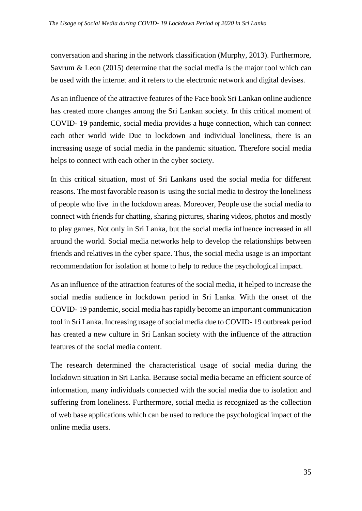conversation and sharing in the network classification (Murphy, 2013). Furthermore, Savrum  $\&$  Leon (2015) determine that the social media is the major tool which can be used with the internet and it refers to the electronic network and digital devises.

As an influence of the attractive features of the Face book Sri Lankan online audience has created more changes among the Sri Lankan society. In this critical moment of COVID- 19 pandemic, social media provides a huge connection, which can connect each other world wide Due to lockdown and individual loneliness, there is an increasing usage of social media in the pandemic situation. Therefore social media helps to connect with each other in the cyber society.

In this critical situation, most of Sri Lankans used the social media for different reasons. The most favorable reason is using the social media to destroy the loneliness of people who live in the lockdown areas. Moreover, People use the social media to connect with friends for chatting, sharing pictures, sharing videos, photos and mostly to play games. Not only in Sri Lanka, but the social media influence increased in all around the world. Social media networks help to develop the relationships between friends and relatives in the cyber space. Thus, the social media usage is an important recommendation for isolation at home to help to reduce the psychological impact.

As an influence of the attraction features of the social media, it helped to increase the social media audience in lockdown period in Sri Lanka. With the onset of the COVID- 19 pandemic, social media has rapidly become an important communication tool in Sri Lanka. Increasing usage of social media due to COVID- 19 outbreak period has created a new culture in Sri Lankan society with the influence of the attraction features of the social media content.

The research determined the characteristical usage of social media during the lockdown situation in Sri Lanka. Because social media became an efficient source of information, many individuals connected with the social media due to isolation and suffering from loneliness. Furthermore, social media is recognized as the collection of web base applications which can be used to reduce the psychological impact of the online media users.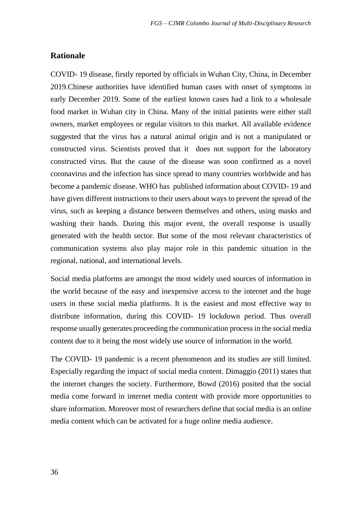### **Rationale**

COVID- 19 disease, firstly reported by officials in Wuhan City, China, in December 2019.Chinese authorities have identified human cases with onset of symptoms in early December 2019. Some of the earliest known cases had a link to a wholesale food market in Wuhan city in China. Many of the initial patients were either stall owners, market employees or regular visitors to this market. All available evidence suggested that the virus has a natural animal origin and is not a manipulated or constructed virus. Scientists proved that it does not support for the laboratory constructed virus. But the cause of the disease was soon confirmed as a novel coronavirus and the infection has since spread to many countries worldwide and has become a pandemic disease. WHO has published information about COVID- 19 and have given different instructions to their users about ways to prevent the spread of the virus, such as keeping a distance between themselves and others, using masks and washing their hands. During this major event, the overall response is usually generated with the health sector. But some of the most relevant characteristics of communication systems also play major role in this pandemic situation in the regional, national, and international levels.

Social media platforms are amongst the most widely used sources of information in the world because of the easy and inexpensive access to the internet and the huge users in these social media platforms. It is the easiest and most effective way to distribute information, during this COVID- 19 lockdown period. Thus overall response usually generates proceeding the communication process in the social media content due to it being the most widely use source of information in the world.

The COVID- 19 pandemic is a recent phenomenon and its studies are still limited. Especially regarding the impact of social media content. Dimaggio (2011) states that the internet changes the society. Furthermore, Bowd (2016) posited that the social media come forward in internet media content with provide more opportunities to share information. Moreover most of researchers define that social media is an online media content which can be activated for a huge online media audience.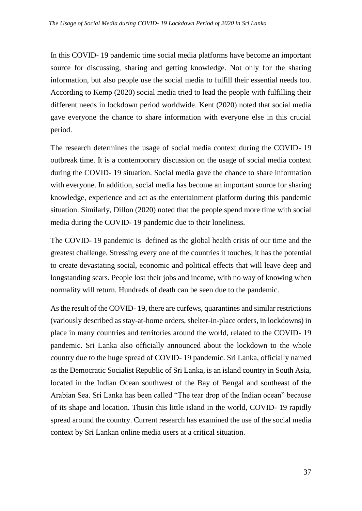In this COVID- 19 pandemic time social media platforms have become an important source for discussing, sharing and getting knowledge. Not only for the sharing information, but also people use the social media to fulfill their essential needs too. According to Kemp (2020) social media tried to lead the people with fulfilling their different needs in lockdown period worldwide. Kent (2020) noted that social media gave everyone the chance to share information with everyone else in this crucial period.

The research determines the usage of social media context during the COVID- 19 outbreak time. It is a contemporary discussion on the usage of social media context during the COVID- 19 situation. Social media gave the chance to share information with everyone. In addition, social media has become an important source for sharing knowledge, experience and act as the entertainment platform during this pandemic situation. Similarly, Dillon (2020) noted that the people spend more time with social media during the COVID- 19 pandemic due to their loneliness.

The COVID- 19 pandemic is defined as the global health crisis of our time and the greatest challenge. Stressing every one of the countries it touches; it has the potential to create devastating social, economic and political effects that will leave deep and longstanding scars. People lost their jobs and income, with no way of knowing when normality will return. Hundreds of death can be seen due to the pandemic.

As the result of the COVID- 19, there are curfews, quarantines and similar restrictions (variously described as stay-at-home orders, shelter-in-place orders, in lockdowns) in place in many countries and territories around the world, related to the COVID- 19 pandemic. Sri Lanka also officially announced about the lockdown to the whole country due to the huge spread of COVID- 19 pandemic. Sri Lanka, officially named as the Democratic Socialist Republic of Sri Lanka, is an island country in South Asia, located in the Indian Ocean southwest of the Bay of Bengal and southeast of the Arabian Sea. Sri Lanka has been called "The tear drop of the Indian ocean" because of its shape and location. Thusin this little island in the world, COVID- 19 rapidly spread around the country. Current research has examined the use of the social media context by Sri Lankan online media users at a critical situation.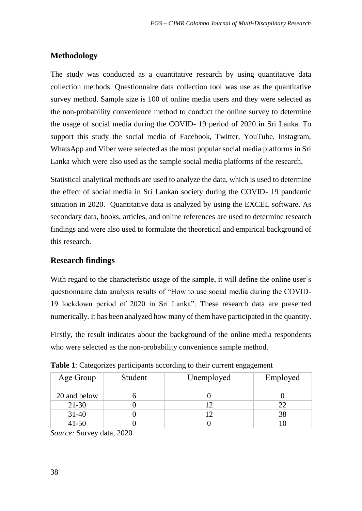## **Methodology**

The study was conducted as a quantitative research by using quantitative data collection methods. Questionnaire data collection tool was use as the quantitative survey method. Sample size is 100 of online media users and they were selected as the non-probability convenience method to conduct the online survey to determine the usage of social media during the COVID- 19 period of 2020 in Sri Lanka. To support this study the social media of Facebook, Twitter, YouTube, Instagram, WhatsApp and Viber were selected as the most popular social media platforms in Sri Lanka which were also used as the sample social media platforms of the research.

Statistical analytical methods are used to analyze the data, which is used to determine the effect of social media in Sri Lankan society during the COVID- 19 pandemic situation in 2020. Quantitative data is analyzed by using the EXCEL software. As secondary data, books, articles, and online references are used to determine research findings and were also used to formulate the theoretical and empirical background of this research.

## **Research findings**

With regard to the characteristic usage of the sample, it will define the online user's questionnaire data analysis results of "How to use social media during the COVID-19 lockdown period of 2020 in Sri Lanka". These research data are presented numerically. It has been analyzed how many of them have participated in the quantity.

Firstly, the result indicates about the background of the online media respondents who were selected as the non-probability convenience sample method.

| Age Group    | Student | Unemployed | Employed |
|--------------|---------|------------|----------|
| 20 and below |         |            |          |
| 21-30        |         |            | 22       |
| $31-40$      |         |            | 38       |
| 41-50        |         |            |          |

**Table 1**: Categorizes participants according to their current engagement

*Source:* Survey data, 2020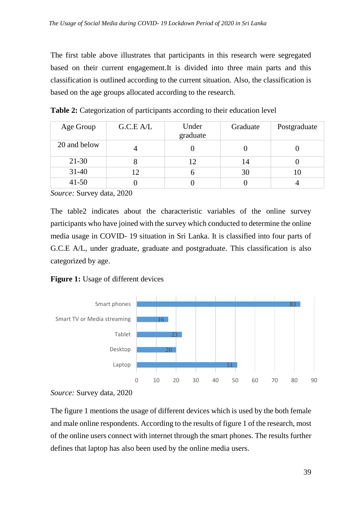The first table above illustrates that participants in this research were segregated based on their current engagement.It is divided into three main parts and this classification is outlined according to the current situation. Also, the classification is based on the age groups allocated according to the research.

| Age Group    | G.C.E A/L | Under<br>graduate | Graduate | Postgraduate |
|--------------|-----------|-------------------|----------|--------------|
| 20 and below |           |                   |          |              |
| $21-30$      |           | 12                | 14       |              |
| $31-40$      |           |                   | 30       |              |
| $41 - 50$    |           |                   |          |              |

**Table 2:** Categorization of participants according to their education level

*Source:* Survey data, 2020

The table2 indicates about the characteristic variables of the online survey participants who have joined with the survey which conducted to determine the online media usage in COVID- 19 situation in Sri Lanka. It is classified into four parts of G.C.E A/L, under graduate, graduate and postgraduate. This classification is also categorized by age.





*Source:* Survey data, 2020

The figure 1 mentions the usage of different devices which is used by the both female and male online respondents. According to the results of figure 1 of the research, most of the online users connect with internet through the smart phones. The results further defines that laptop has also been used by the online media users.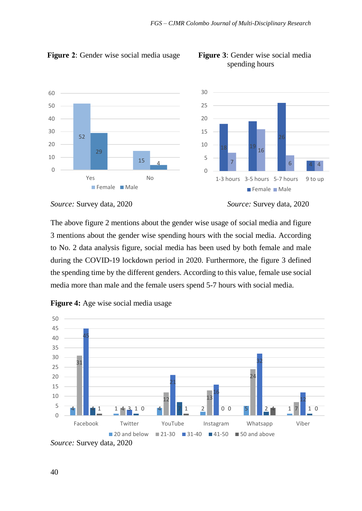spending hours



**Figure 2**: Gender wise social media usage **Figure 3**: Gender wise social media



*Source:* Survey data, 2020 *Source:* Survey data, 2020

The above figure 2 mentions about the gender wise usage of social media and figure 3 mentions about the gender wise spending hours with the social media. According to No. 2 data analysis figure, social media has been used by both female and male during the COVID-19 lockdown period in 2020. Furthermore, the figure 3 defined the spending time by the different genders. According to this value, female use social media more than male and the female users spend 5-7 hours with social media.



**Figure 4:** Age wise social media usage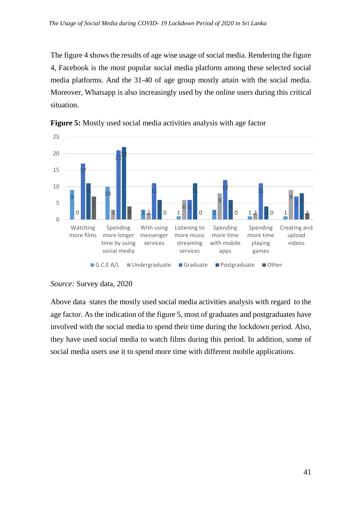The figure 4 shows the results of age wise usage of social media. Rendering the figure 4, Facebook is the most popular social media platform among these selected social media platforms. And the 31-40 of age group mostly attain with the social media. Moreover, Whatsapp is also increasingly used by the online users during this critical situation.



**Figure 5:** Mostly used social media activities analysis with age factor

#### *Source:* Survey data, 2020

Above data states the mostly used social media activities analysis with regard to the age factor. As the indication of the figure 5, most of graduates and postgraduates have involved with the social media to spend their time during the lockdown period. Also, they have used social media to watch films during this period. In addition, some of social media users use it to spend more time with different mobile applications.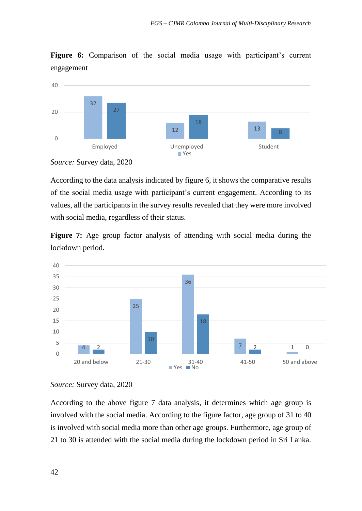Figure 6: Comparison of the social media usage with participant's current engagement



*Source:* Survey data, 2020

According to the data analysis indicated by figure 6, it shows the comparative results of the social media usage with participant's current engagement. According to its values, all the participants in the survey results revealed that they were more involved with social media, regardless of their status.

**Figure 7:** Age group factor analysis of attending with social media during the lockdown period.



*Source:* Survey data, 2020

According to the above figure 7 data analysis, it determines which age group is involved with the social media. According to the figure factor, age group of 31 to 40 is involved with social media more than other age groups. Furthermore, age group of 21 to 30 is attended with the social media during the lockdown period in Sri Lanka.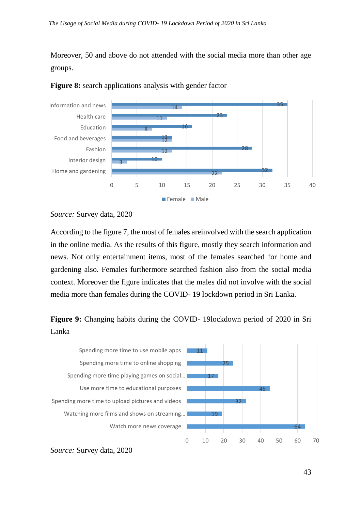Moreover, 50 and above do not attended with the social media more than other age groups.



**Figure 8:** search applications analysis with gender factor

According to the figure 7, the most of females areinvolved with the search application in the online media. As the results of this figure, mostly they search information and news. Not only entertainment items, most of the females searched for home and gardening also. Females furthermore searched fashion also from the social media context. Moreover the figure indicates that the males did not involve with the social media more than females during the COVID- 19 lockdown period in Sri Lanka.

**Figure 9:** Changing habits during the COVID- 19lockdown period of 2020 in Sri Lanka



*Source:* Survey data, 2020

*Source:* Survey data, 2020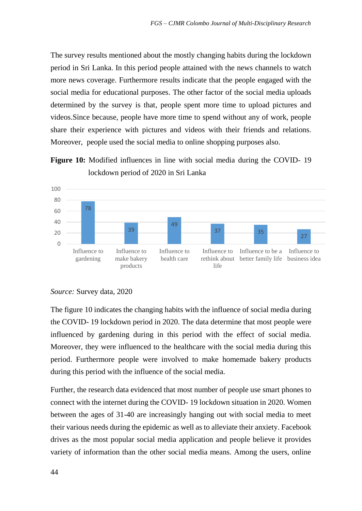The survey results mentioned about the mostly changing habits during the lockdown period in Sri Lanka. In this period people attained with the news channels to watch more news coverage. Furthermore results indicate that the people engaged with the social media for educational purposes. The other factor of the social media uploads determined by the survey is that, people spent more time to upload pictures and videos.Since because, people have more time to spend without any of work, people share their experience with pictures and videos with their friends and relations. Moreover, people used the social media to online shopping purposes also.





*Source:* Survey data, 2020

The figure 10 indicates the changing habits with the influence of social media during the COVID- 19 lockdown period in 2020. The data determine that most people were influenced by gardening during in this period with the effect of social media. Moreover, they were influenced to the healthcare with the social media during this period. Furthermore people were involved to make homemade bakery products during this period with the influence of the social media.

Further, the research data evidenced that most number of people use smart phones to connect with the internet during the COVID- 19 lockdown situation in 2020. Women between the ages of 31-40 are increasingly hanging out with social media to meet their various needs during the epidemic as well as to alleviate their anxiety. Facebook drives as the most popular social media application and people believe it provides variety of information than the other social media means. Among the users, online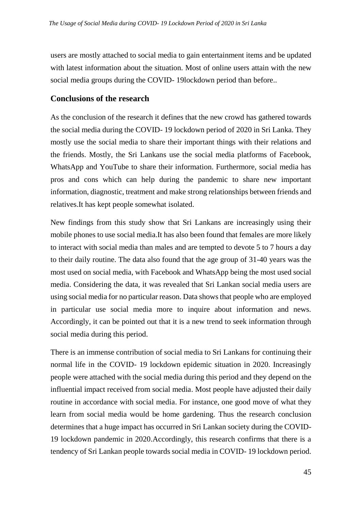users are mostly attached to social media to gain entertainment items and be updated with latest information about the situation. Most of online users attain with the new social media groups during the COVID- 19lockdown period than before..

## **Conclusions of the research**

As the conclusion of the research it defines that the new crowd has gathered towards the social media during the COVID- 19 lockdown period of 2020 in Sri Lanka. They mostly use the social media to share their important things with their relations and the friends. Mostly, the Sri Lankans use the social media platforms of Facebook, WhatsApp and YouTube to share their information. Furthermore, social media has pros and cons which can help during the pandemic to share new important information, diagnostic, treatment and make strong relationships between friends and relatives.It has kept people somewhat isolated.

New findings from this study show that Sri Lankans are increasingly using their mobile phones to use social media.It has also been found that females are more likely to interact with social media than males and are tempted to devote 5 to 7 hours a day to their daily routine. The data also found that the age group of 31-40 years was the most used on social media, with Facebook and WhatsApp being the most used social media. Considering the data, it was revealed that Sri Lankan social media users are using social media for no particular reason. Data shows that people who are employed in particular use social media more to inquire about information and news. Accordingly, it can be pointed out that it is a new trend to seek information through social media during this period.

There is an immense contribution of social media to Sri Lankans for continuing their normal life in the COVID- 19 lockdown epidemic situation in 2020. Increasingly people were attached with the social media during this period and they depend on the influential impact received from social media. Most people have adjusted their daily routine in accordance with social media. For instance, one good move of what they learn from social media would be home gardening. Thus the research conclusion determines that a huge impact has occurred in Sri Lankan society during the COVID-19 lockdown pandemic in 2020.Accordingly, this research confirms that there is a tendency of Sri Lankan people towards social media in COVID- 19 lockdown period.